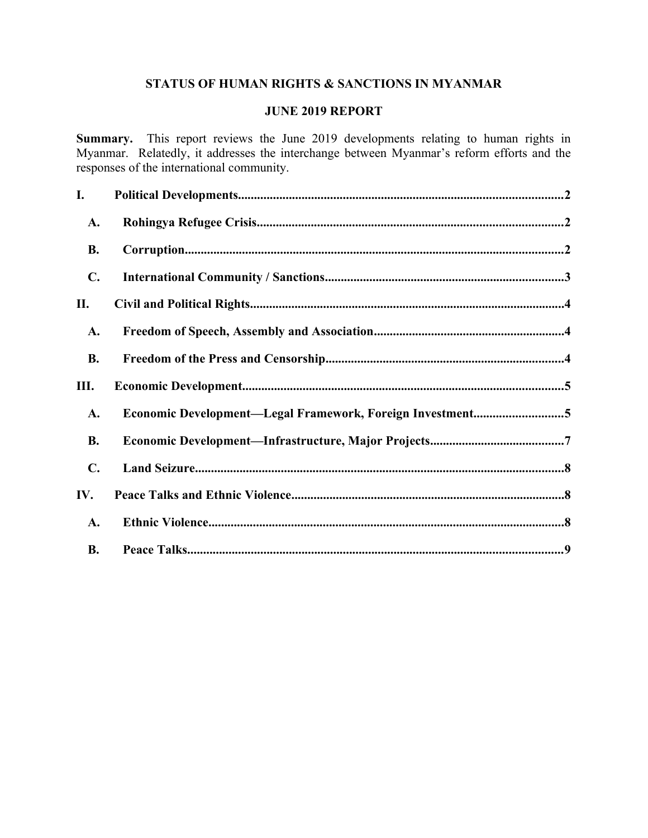# **STATUS OF HUMAN RIGHTS & SANCTIONS IN MYANMAR**

#### **JUNE 2019 REPORT**

**Summary.** This report reviews the June 2019 developments relating to human rights in Myanmar. Relatedly, it addresses the interchange between Myanmar's reform efforts and the responses of the international community.

| I.             |                                                           |
|----------------|-----------------------------------------------------------|
| A.             |                                                           |
| <b>B.</b>      |                                                           |
| $\mathbf{C}$ . |                                                           |
| П.             |                                                           |
| A.             |                                                           |
| <b>B.</b>      |                                                           |
| Ш.             |                                                           |
| A.             | Economic Development-Legal Framework, Foreign Investment5 |
| <b>B.</b>      |                                                           |
| $\mathbf{C}$ . |                                                           |
| IV.            |                                                           |
| A.             |                                                           |
| <b>B.</b>      |                                                           |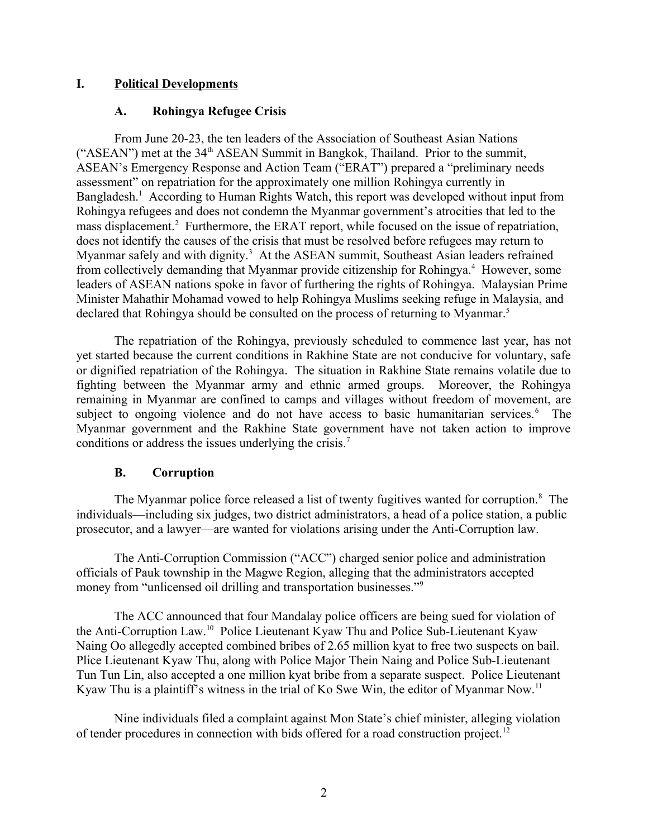## **I. Political Developments**

### <span id="page-1-2"></span><span id="page-1-0"></span>**A. Rohingya Refugee Crisis**

From June 20-23, the ten leaders of the Association of Southeast Asian Nations ("ASEAN") met at the 34<sup>th</sup> ASEAN Summit in Bangkok, Thailand. Prior to the summit, ASEAN's Emergency Response and Action Team ("ERAT") prepared a "preliminary needs assessment" on repatriation for the approximately one million Rohingya currently in Bangladesh.<sup>1</sup> According to Human Rights Watch, this report was developed without input from Rohingya refugees and does not condemn the Myanmar government's atrocities that led to the mass displacement.<sup>2</sup> Furthermore, the ERAT report, while focused on the issue of repatriation, does not identify the causes of the crisis that must be resolved before refugees may return to Myanmar safely and with dignity.<sup>3</sup> At the ASEAN summit, Southeast Asian leaders refrained from collectively demanding that Myanmar provide citizenship for Rohingya.<sup>4</sup> However, some leaders of ASEAN nations spoke in favor of furthering the rights of Rohingya. Malaysian Prime Minister Mahathir Mohamad vowed to help Rohingya Muslims seeking refuge in Malaysia, and declared that Rohingya should be consulted on the process of returning to Myanmar.<sup>5</sup>

The repatriation of the Rohingya, previously scheduled to commence last year, has not yet started because the current conditions in Rakhine State are not conducive for voluntary, safe or dignified repatriation of the Rohingya. The situation in Rakhine State remains volatile due to fighting between the Myanmar army and ethnic armed groups. Moreover, the Rohingya remaining in Myanmar are confined to camps and villages without freedom of movement, are subject to ongoing violence and do not have access to basic humanitarian services.<sup>6</sup> The Myanmar government and the Rakhine State government have not taken action to improve conditions or address the issues underlying the crisis.<sup>7</sup>

#### <span id="page-1-1"></span>**B. Corruption**

The Myanmar police force released a list of twenty fugitives wanted for corruption.<sup>8</sup> The individuals—including six judges, two district administrators, a head of a police station, a public prosecutor, and a lawyer—are wanted for violations arising under the Anti-Corruption law.

The Anti-Corruption Commission ("ACC") charged senior police and administration officials of Pauk township in the Magwe Region, alleging that the administrators accepted money from "unlicensed oil drilling and transportation businesses."<sup>9</sup>

The ACC announced that four Mandalay police officers are being sued for violation of the Anti-Corruption Law.<sup>10</sup> Police Lieutenant Kyaw Thu and Police Sub-Lieutenant Kyaw Naing Oo allegedly accepted combined bribes of 2.65 million kyat to free two suspects on bail. Plice Lieutenant Kyaw Thu, along with Police Major Thein Naing and Police Sub-Lieutenant Tun Tun Lin, also accepted a one million kyat bribe from a separate suspect. Police Lieutenant Kyaw Thu is a plaintiff's witness in the trial of Ko Swe Win, the editor of Myanmar Now.<sup>11</sup>

Nine individuals filed a complaint against Mon State's chief minister, alleging violation of tender procedures in connection with bids offered for a road construction project.<sup>12</sup>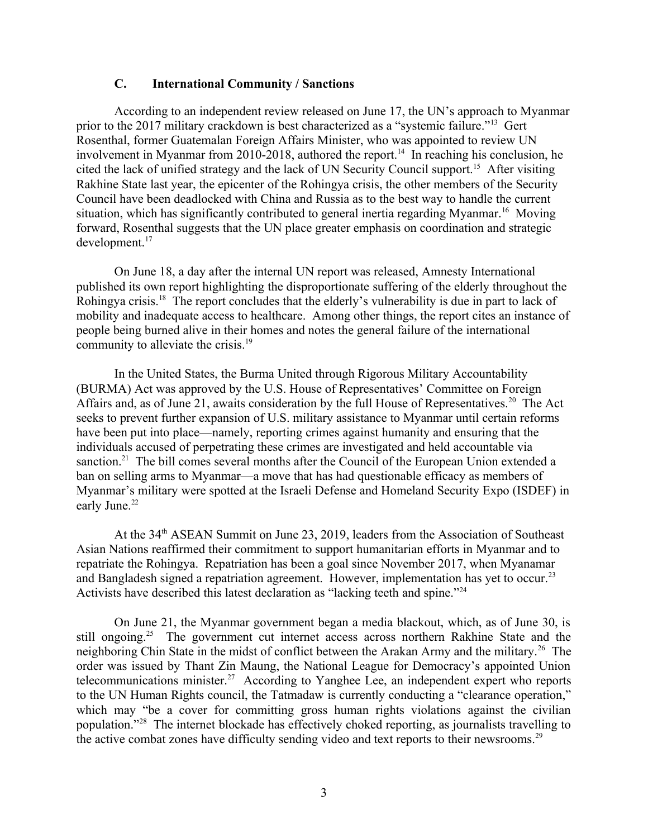#### <span id="page-2-0"></span>**C. International Community / Sanctions**

According to an independent review released on June 17, the UN's approach to Myanmar prior to the 2017 military crackdown is best characterized as a "systemic failure."<sup>13</sup> Gert Rosenthal, former Guatemalan Foreign Affairs Minister, who was appointed to review UN involvement in Myanmar from 2010-2018, authored the report.<sup>14</sup> In reaching his conclusion, he cited the lack of unified strategy and the lack of UN Security Council support.<sup>15</sup> After visiting Rakhine State last year, the epicenter of the Rohingya crisis, the other members of the Security Council have been deadlocked with China and Russia as to the best way to handle the current situation, which has significantly contributed to general inertia regarding Myanmar.<sup>16</sup> Moving forward, Rosenthal suggests that the UN place greater emphasis on coordination and strategic development.<sup>17</sup>

On June 18, a day after the internal UN report was released, Amnesty International published its own report highlighting the disproportionate suffering of the elderly throughout the Rohingya crisis.<sup>18</sup> The report concludes that the elderly's vulnerability is due in part to lack of mobility and inadequate access to healthcare. Among other things, the report cites an instance of people being burned alive in their homes and notes the general failure of the international community to alleviate the crisis.<sup>19</sup>

In the United States, the Burma United through Rigorous Military Accountability (BURMA) Act was approved by the U.S. House of Representatives' Committee on Foreign Affairs and, as of June 21, awaits consideration by the full House of Representatives.<sup>20</sup> The Act seeks to prevent further expansion of U.S. military assistance to Myanmar until certain reforms have been put into place—namely, reporting crimes against humanity and ensuring that the individuals accused of perpetrating these crimes are investigated and held accountable via sanction.<sup>21</sup> The bill comes several months after the Council of the European Union extended a ban on selling arms to Myanmar—a move that has had questionable efficacy as members of Myanmar's military were spotted at the Israeli Defense and Homeland Security Expo (ISDEF) in early June.<sup>22</sup>

At the 34<sup>th</sup> ASEAN Summit on June 23, 2019, leaders from the Association of Southeast Asian Nations reaffirmed their commitment to support humanitarian efforts in Myanmar and to repatriate the Rohingya. Repatriation has been a goal since November 2017, when Myanamar and Bangladesh signed a repatriation agreement. However, implementation has yet to occur.<sup>23</sup> Activists have described this latest declaration as "lacking teeth and spine."<sup>24</sup>

On June 21, the Myanmar government began a media blackout, which, as of June 30, is still ongoing.<sup>25</sup> The government cut internet access across northern Rakhine State and the neighboring Chin State in the midst of conflict between the Arakan Army and the military.<sup>26</sup> The order was issued by Thant Zin Maung, the National League for Democracy's appointed Union telecommunications minister.<sup>27</sup> According to Yanghee Lee, an independent expert who reports to the UN Human Rights council, the Tatmadaw is currently conducting a "clearance operation," which may "be a cover for committing gross human rights violations against the civilian population."<sup>28</sup> The internet blockade has effectively choked reporting, as journalists travelling to the active combat zones have difficulty sending video and text reports to their newsrooms.<sup>29</sup>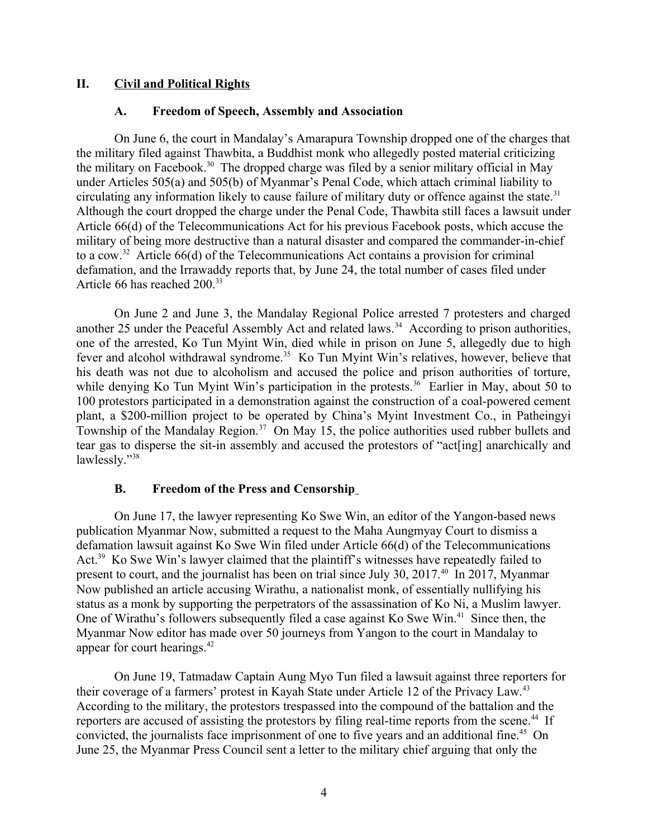#### **II. Civil and Political Rights**

#### <span id="page-3-2"></span><span id="page-3-1"></span>**A. Freedom of Speech, Assembly and Association**

On June 6, the court in Mandalay's Amarapura Township dropped one of the charges that the military filed against Thawbita, a Buddhist monk who allegedly posted material criticizing the military on Facebook.<sup>30</sup> The dropped charge was filed by a senior military official in May under Articles 505(a) and 505(b) of Myanmar's Penal Code, which attach criminal liability to circulating any information likely to cause failure of military duty or offence against the state.<sup>31</sup> Although the court dropped the charge under the Penal Code, Thawbita still faces a lawsuit under Article 66(d) of the Telecommunications Act for his previous Facebook posts, which accuse the military of being more destructive than a natural disaster and compared the commander-in-chief to a cow.<sup>32</sup> Article 66(d) of the Telecommunications Act contains a provision for criminal defamation, and the Irrawaddy reports that, by June 24, the total number of cases filed under Article 66 has reached 200.<sup>33</sup>

On June 2 and June 3, the Mandalay Regional Police arrested 7 protesters and charged another 25 under the Peaceful Assembly Act and related laws.<sup>34</sup> According to prison authorities, one of the arrested, Ko Tun Myint Win, died while in prison on June 5, allegedly due to high fever and alcohol withdrawal syndrome.<sup>35</sup> Ko Tun Myint Win's relatives, however, believe that his death was not due to alcoholism and accused the police and prison authorities of torture, while denying Ko Tun Myint Win's participation in the protests.<sup>36</sup> Earlier in May, about 50 to 100 protestors participated in a demonstration against the construction of a coal-powered cement plant, a \$200-million project to be operated by China's Myint Investment Co., in Patheingyi Township of the Mandalay Region.<sup>37</sup> On May 15, the police authorities used rubber bullets and tear gas to disperse the sit-in assembly and accused the protestors of "act[ing] anarchically and lawlessly."<sup>38</sup>

#### <span id="page-3-0"></span>**B. Freedom of the Press and Censorship**

On June 17, the lawyer representing Ko Swe Win, an editor of the Yangon-based news publication Myanmar Now, submitted a request to the Maha Aungmyay Court to dismiss a defamation lawsuit against Ko Swe Win filed under Article 66(d) of the Telecommunications Act.<sup>39</sup> Ko Swe Win's lawyer claimed that the plaintiff's witnesses have repeatedly failed to present to court, and the journalist has been on trial since July 30, 2017.<sup>40</sup> In 2017, Myanmar Now published an article accusing Wirathu, a nationalist monk, of essentially nullifying his status as a monk by supporting the perpetrators of the assassination of Ko Ni, a Muslim lawyer. One of Wirathu's followers subsequently filed a case against Ko Swe Win.<sup>41</sup> Since then, the Myanmar Now editor has made over 50 journeys from Yangon to the court in Mandalay to appear for court hearings.<sup>42</sup>

On June 19, Tatmadaw Captain Aung Myo Tun filed a lawsuit against three reporters for their coverage of a farmers' protest in Kayah State under Article 12 of the Privacy Law.<sup>43</sup> According to the military, the protestors trespassed into the compound of the battalion and the reporters are accused of assisting the protestors by filing real-time reports from the scene.<sup>44</sup> If convicted, the journalists face imprisonment of one to five years and an additional fine.<sup>45</sup> On June 25, the Myanmar Press Council sent a letter to the military chief arguing that only the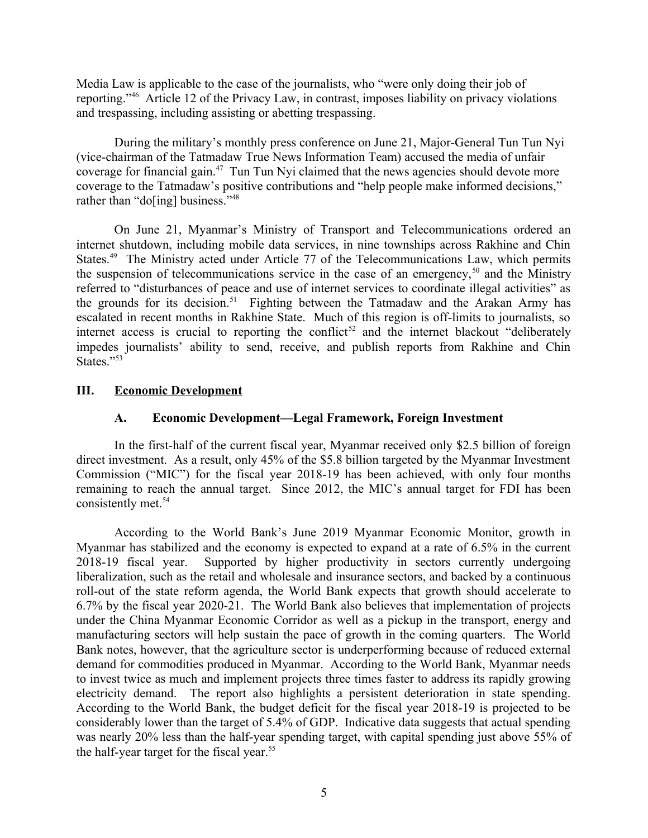Media Law is applicable to the case of the journalists, who "were only doing their job of reporting."<sup>46</sup> Article 12 of the Privacy Law, in contrast, imposes liability on privacy violations and trespassing, including assisting or abetting trespassing.

During the military's monthly press conference on June 21, Major-General Tun Tun Nyi (vice-chairman of the Tatmadaw True News Information Team) accused the media of unfair coverage for financial gain.<sup>47</sup> Tun Tun Nyi claimed that the news agencies should devote more coverage to the Tatmadaw's positive contributions and "help people make informed decisions," rather than "do[ing] business."<sup>48</sup>

On June 21, Myanmar's Ministry of Transport and Telecommunications ordered an internet shutdown, including mobile data services, in nine townships across Rakhine and Chin States.<sup>49</sup> The Ministry acted under Article 77 of the Telecommunications Law, which permits the suspension of telecommunications service in the case of an emergency,<sup>50</sup> and the Ministry referred to "disturbances of peace and use of internet services to coordinate illegal activities" as the grounds for its decision.<sup>51</sup> Fighting between the Tatmadaw and the Arakan Army has escalated in recent months in Rakhine State. Much of this region is off-limits to journalists, so internet access is crucial to reporting the conflict<sup>52</sup> and the internet blackout "deliberately" impedes journalists' ability to send, receive, and publish reports from Rakhine and Chin States."53

## **III. Economic Development**

### <span id="page-4-1"></span><span id="page-4-0"></span>**A. Economic Development—Legal Framework, Foreign Investment**

In the first-half of the current fiscal year, Myanmar received only \$2.5 billion of foreign direct investment. As a result, only 45% of the \$5.8 billion targeted by the Myanmar Investment Commission ("MIC") for the fiscal year 2018-19 has been achieved, with only four months remaining to reach the annual target. Since 2012, the MIC's annual target for FDI has been consistently met.<sup>54</sup>

According to the World Bank's June 2019 Myanmar Economic Monitor, growth in Myanmar has stabilized and the economy is expected to expand at a rate of 6.5% in the current 2018-19 fiscal year. Supported by higher productivity in sectors currently undergoing liberalization, such as the retail and wholesale and insurance sectors, and backed by a continuous roll-out of the state reform agenda, the World Bank expects that growth should accelerate to 6.7% by the fiscal year 2020-21. The World Bank also believes that implementation of projects under the China Myanmar Economic Corridor as well as a pickup in the transport, energy and manufacturing sectors will help sustain the pace of growth in the coming quarters. The World Bank notes, however, that the agriculture sector is underperforming because of reduced external demand for commodities produced in Myanmar. According to the World Bank, Myanmar needs to invest twice as much and implement projects three times faster to address its rapidly growing electricity demand. The report also highlights a persistent deterioration in state spending. According to the World Bank, the budget deficit for the fiscal year 2018-19 is projected to be considerably lower than the target of 5.4% of GDP. Indicative data suggests that actual spending was nearly 20% less than the half-year spending target, with capital spending just above 55% of the half-year target for the fiscal year.<sup>55</sup>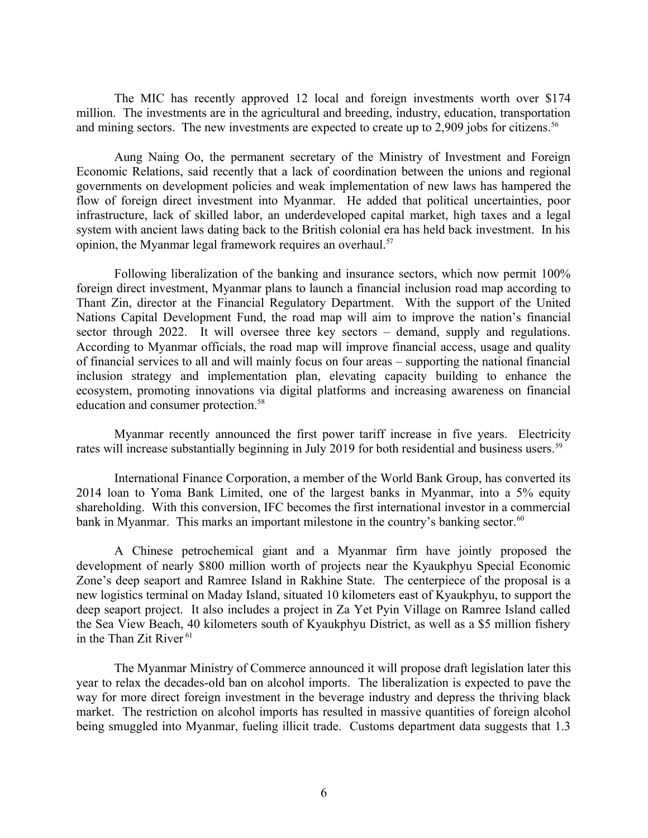The MIC has recently approved 12 local and foreign investments worth over \$174 million. The investments are in the agricultural and breeding, industry, education, transportation and mining sectors. The new investments are expected to create up to 2,909 jobs for citizens.<sup>56</sup>

Aung Naing Oo, the permanent secretary of the Ministry of Investment and Foreign Economic Relations, said recently that a lack of coordination between the unions and regional governments on development policies and weak implementation of new laws has hampered the flow of foreign direct investment into Myanmar. He added that political uncertainties, poor infrastructure, lack of skilled labor, an underdeveloped capital market, high taxes and a legal system with ancient laws dating back to the British colonial era has held back investment. In his opinion, the Myanmar legal framework requires an overhaul.<sup>57</sup>

Following liberalization of the banking and insurance sectors, which now permit 100% foreign direct investment, Myanmar plans to launch a financial inclusion road map according to Thant Zin, director at the Financial Regulatory Department. With the support of the United Nations Capital Development Fund, the road map will aim to improve the nation's financial sector through 2022. It will oversee three key sectors – demand, supply and regulations. According to Myanmar officials, the road map will improve financial access, usage and quality of financial services to all and will mainly focus on four areas – supporting the national financial inclusion strategy and implementation plan, elevating capacity building to enhance the ecosystem, promoting innovations via digital platforms and increasing awareness on financial education and consumer protection.<sup>58</sup>

Myanmar recently announced the first power tariff increase in five years. Electricity rates will increase substantially beginning in July 2019 for both residential and business users.<sup>59</sup>

International Finance Corporation, a member of the World Bank Group, has converted its 2014 loan to Yoma Bank Limited, one of the largest banks in Myanmar, into a 5% equity shareholding. With this conversion, IFC becomes the first international investor in a commercial bank in Myanmar. This marks an important milestone in the country's banking sector.<sup>60</sup>

A Chinese petrochemical giant and a Myanmar firm have jointly proposed the development of nearly \$800 million worth of projects near the Kyaukphyu Special Economic Zone's deep seaport and Ramree Island in Rakhine State. The centerpiece of the proposal is a new logistics terminal on Maday Island, situated 10 kilometers east of Kyaukphyu, to support the deep seaport project. It also includes a project in Za Yet Pyin Village on Ramree Island called the Sea View Beach, 40 kilometers south of Kyaukphyu District, as well as a \$5 million fishery in the Than Zit River <sup>61</sup>

The Myanmar Ministry of Commerce announced it will propose draft legislation later this year to relax the decades-old ban on alcohol imports. The liberalization is expected to pave the way for more direct foreign investment in the beverage industry and depress the thriving black market. The restriction on alcohol imports has resulted in massive quantities of foreign alcohol being smuggled into Myanmar, fueling illicit trade. Customs department data suggests that 1.3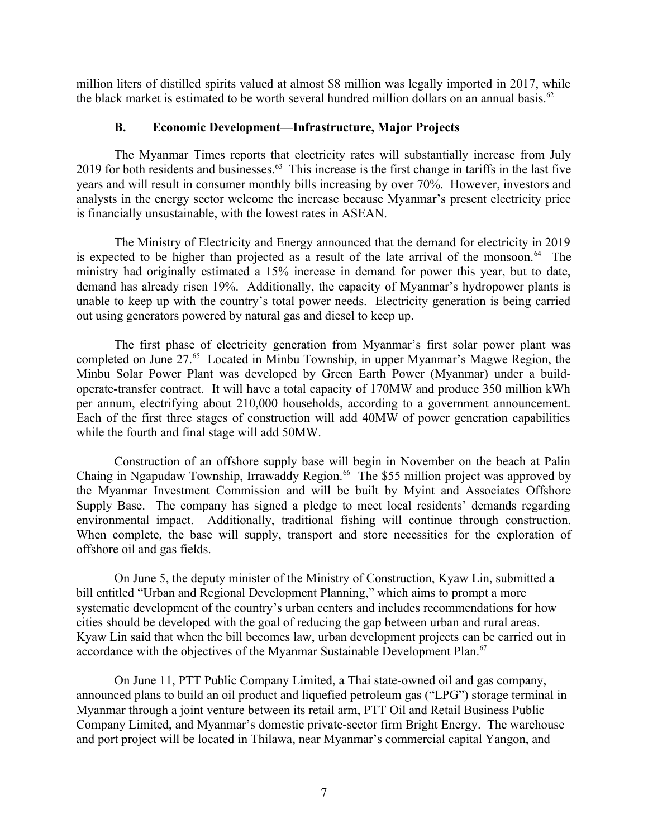million liters of distilled spirits valued at almost \$8 million was legally imported in 2017, while the black market is estimated to be worth several hundred million dollars on an annual basis.<sup>62</sup>

#### <span id="page-6-0"></span>**B. Economic Development—Infrastructure, Major Projects**

The Myanmar Times reports that electricity rates will substantially increase from July 2019 for both residents and businesses.<sup>63</sup> This increase is the first change in tariffs in the last five years and will result in consumer monthly bills increasing by over 70%. However, investors and analysts in the energy sector welcome the increase because Myanmar's present electricity price is financially unsustainable, with the lowest rates in ASEAN.

The Ministry of Electricity and Energy announced that the demand for electricity in 2019 is expected to be higher than projected as a result of the late arrival of the monsoon.<sup>64</sup> The ministry had originally estimated a 15% increase in demand for power this year, but to date, demand has already risen 19%. Additionally, the capacity of Myanmar's hydropower plants is unable to keep up with the country's total power needs. Electricity generation is being carried out using generators powered by natural gas and diesel to keep up.

The first phase of electricity generation from Myanmar's first solar power plant was completed on June 27.<sup>65</sup> Located in Minbu Township, in upper Myanmar's Magwe Region, the Minbu Solar Power Plant was developed by Green Earth Power (Myanmar) under a buildoperate-transfer contract. It will have a total capacity of 170MW and produce 350 million kWh per annum, electrifying about 210,000 households, according to a government announcement. Each of the first three stages of construction will add 40MW of power generation capabilities while the fourth and final stage will add 50MW.

Construction of an offshore supply base will begin in November on the beach at Palin Chaing in Ngapudaw Township, Irrawaddy Region.<sup>66</sup> The \$55 million project was approved by the Myanmar Investment Commission and will be built by Myint and Associates Offshore Supply Base. The company has signed a pledge to meet local residents' demands regarding environmental impact. Additionally, traditional fishing will continue through construction. When complete, the base will supply, transport and store necessities for the exploration of offshore oil and gas fields.

On June 5, the deputy minister of the Ministry of Construction, Kyaw Lin, submitted a bill entitled "Urban and Regional Development Planning," which aims to prompt a more systematic development of the country's urban centers and includes recommendations for how cities should be developed with the goal of reducing the gap between urban and rural areas. Kyaw Lin said that when the bill becomes law, urban development projects can be carried out in accordance with the objectives of the Myanmar Sustainable Development Plan.<sup>67</sup>

On June 11, PTT Public Company Limited, a Thai state-owned oil and gas company, announced plans to build an oil product and liquefied petroleum gas ("LPG") storage terminal in Myanmar through a joint venture between its retail arm, PTT Oil and Retail Business Public Company Limited, and Myanmar's domestic private-sector firm Bright Energy. The warehouse and port project will be located in Thilawa, near Myanmar's commercial capital Yangon, and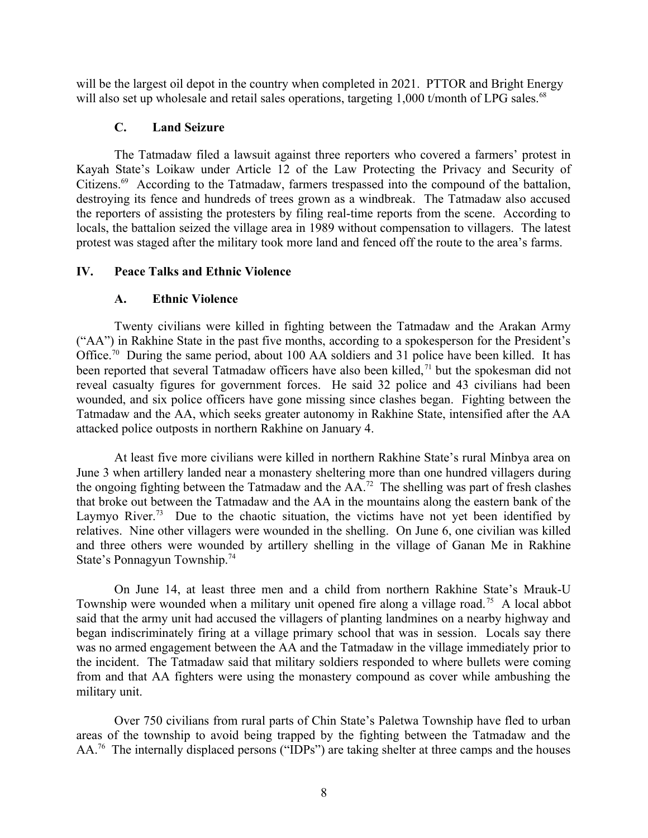will be the largest oil depot in the country when completed in 2021. PTTOR and Bright Energy will also set up wholesale and retail sales operations, targeting 1,000 t/month of LPG sales.<sup>68</sup>

### <span id="page-7-2"></span>**C. Land Seizure**

The Tatmadaw filed a lawsuit against three reporters who covered a farmers' protest in Kayah State's Loikaw under Article 12 of the Law Protecting the Privacy and Security of Citizens.<sup>69</sup> According to the Tatmadaw, farmers trespassed into the compound of the battalion, destroying its fence and hundreds of trees grown as a windbreak. The Tatmadaw also accused the reporters of assisting the protesters by filing real-time reports from the scene. According to locals, the battalion seized the village area in 1989 without compensation to villagers. The latest protest was staged after the military took more land and fenced off the route to the area's farms.

## **IV. Peace Talks and Ethnic Violence**

## <span id="page-7-1"></span><span id="page-7-0"></span>**A. Ethnic Violence**

Twenty civilians were killed in fighting between the Tatmadaw and the Arakan Army ("AA") in Rakhine State in the past five months, according to a spokesperson for the President's Office.<sup>70</sup> During the same period, about 100 AA soldiers and 31 police have been killed. It has been reported that several Tatmadaw officers have also been killed,<sup>71</sup> but the spokesman did not reveal casualty figures for government forces. He said 32 police and 43 civilians had been wounded, and six police officers have gone missing since clashes began. Fighting between the Tatmadaw and the AA, which seeks greater autonomy in Rakhine State, intensified after the AA attacked police outposts in northern Rakhine on January 4.

At least five more civilians were killed in northern Rakhine State's rural Minbya area on June 3 when artillery landed near a monastery sheltering more than one hundred villagers during the ongoing fighting between the Tatmadaw and the  $AA^{72}$ . The shelling was part of fresh clashes that broke out between the Tatmadaw and the AA in the mountains along the eastern bank of the Laymyo River.<sup>73</sup> Due to the chaotic situation, the victims have not yet been identified by relatives. Nine other villagers were wounded in the shelling. On June 6, one civilian was killed and three others were wounded by artillery shelling in the village of Ganan Me in Rakhine State's Ponnagyun Township.<sup>74</sup>

On June 14, at least three men and a child from northern Rakhine State's Mrauk-U Township were wounded when a military unit opened fire along a village road.<sup>75</sup> A local abbot said that the army unit had accused the villagers of planting landmines on a nearby highway and began indiscriminately firing at a village primary school that was in session. Locals say there was no armed engagement between the AA and the Tatmadaw in the village immediately prior to the incident. The Tatmadaw said that military soldiers responded to where bullets were coming from and that AA fighters were using the monastery compound as cover while ambushing the military unit.

Over 750 civilians from rural parts of Chin State's Paletwa Township have fled to urban areas of the township to avoid being trapped by the fighting between the Tatmadaw and the AA.<sup>76</sup> The internally displaced persons ("IDPs") are taking shelter at three camps and the houses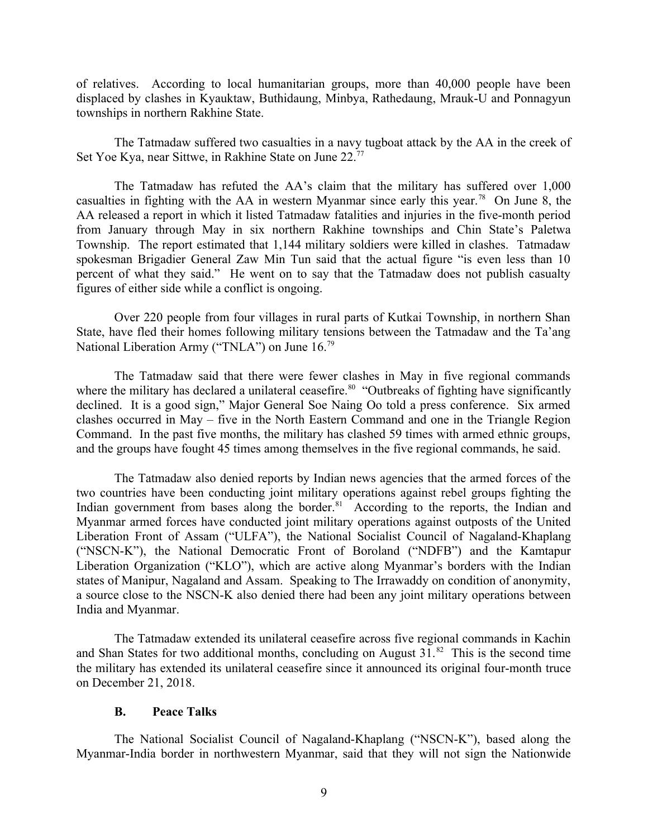of relatives. According to local humanitarian groups, more than 40,000 people have been displaced by clashes in Kyauktaw, Buthidaung, Minbya, Rathedaung, Mrauk-U and Ponnagyun townships in northern Rakhine State.

The Tatmadaw suffered two casualties in a navy tugboat attack by the AA in the creek of Set Yoe Kya, near Sittwe, in Rakhine State on June 22.<sup>77</sup>

The Tatmadaw has refuted the AA's claim that the military has suffered over 1,000 casualties in fighting with the AA in western Myanmar since early this year.<sup>78</sup> On June 8, the AA released a report in which it listed Tatmadaw fatalities and injuries in the five-month period from January through May in six northern Rakhine townships and Chin State's Paletwa Township. The report estimated that 1,144 military soldiers were killed in clashes. Tatmadaw spokesman Brigadier General Zaw Min Tun said that the actual figure "is even less than 10 percent of what they said." He went on to say that the Tatmadaw does not publish casualty figures of either side while a conflict is ongoing.

Over 220 people from four villages in rural parts of Kutkai Township, in northern Shan State, have fled their homes following military tensions between the Tatmadaw and the Ta'ang National Liberation Army ("TNLA") on June 16.<sup>79</sup>

The Tatmadaw said that there were fewer clashes in May in five regional commands where the military has declared a unilateral ceasefire.<sup>80</sup> "Outbreaks of fighting have significantly declined. It is a good sign," Major General Soe Naing Oo told a press conference. Six armed clashes occurred in May – five in the North Eastern Command and one in the Triangle Region Command. In the past five months, the military has clashed 59 times with armed ethnic groups, and the groups have fought 45 times among themselves in the five regional commands, he said.

The Tatmadaw also denied reports by Indian news agencies that the armed forces of the two countries have been conducting joint military operations against rebel groups fighting the Indian government from bases along the border.<sup>81</sup> According to the reports, the Indian and Myanmar armed forces have conducted joint military operations against outposts of the United Liberation Front of Assam ("ULFA"), the National Socialist Council of Nagaland-Khaplang ("NSCN-K"), the National Democratic Front of Boroland ("NDFB") and the Kamtapur Liberation Organization ("KLO"), which are active along Myanmar's borders with the Indian states of Manipur, Nagaland and Assam. Speaking to The Irrawaddy on condition of anonymity, a source close to the NSCN-K also denied there had been any joint military operations between India and Myanmar.

The Tatmadaw extended its unilateral ceasefire across five regional commands in Kachin and Shan States for two additional months, concluding on August  $31.^{82}$  This is the second time the military has extended its unilateral ceasefire since it announced its original four-month truce on December 21, 2018.

#### <span id="page-8-0"></span>**B. Peace Talks**

The National Socialist Council of Nagaland-Khaplang ("NSCN-K"), based along the Myanmar-India border in northwestern Myanmar, said that they will not sign the Nationwide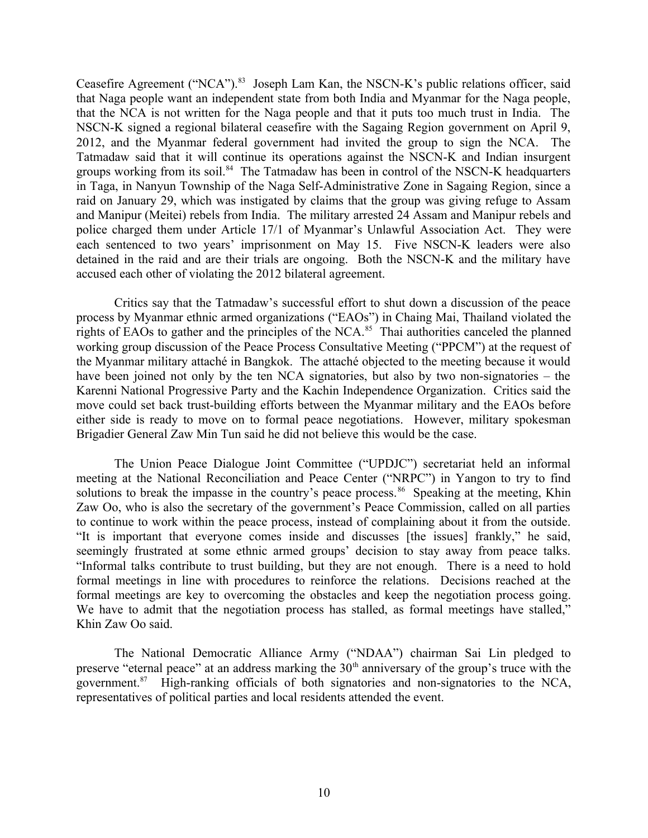Ceasefire Agreement ("NCA").<sup>83</sup> Joseph Lam Kan, the NSCN-K's public relations officer, said that Naga people want an independent state from both India and Myanmar for the Naga people, that the NCA is not written for the Naga people and that it puts too much trust in India. The NSCN-K signed a regional bilateral ceasefire with the Sagaing Region government on April 9, 2012, and the Myanmar federal government had invited the group to sign the NCA. The Tatmadaw said that it will continue its operations against the NSCN-K and Indian insurgent groups working from its soil. $84$  The Tatmadaw has been in control of the NSCN-K headquarters in Taga, in Nanyun Township of the Naga Self-Administrative Zone in Sagaing Region, since a raid on January 29, which was instigated by claims that the group was giving refuge to Assam and Manipur (Meitei) rebels from India. The military arrested 24 Assam and Manipur rebels and police charged them under Article 17/1 of Myanmar's Unlawful Association Act. They were each sentenced to two years' imprisonment on May 15. Five NSCN-K leaders were also detained in the raid and are their trials are ongoing. Both the NSCN-K and the military have accused each other of violating the 2012 bilateral agreement.

Critics say that the Tatmadaw's successful effort to shut down a discussion of the peace process by Myanmar ethnic armed organizations ("EAOs") in Chaing Mai, Thailand violated the rights of EAOs to gather and the principles of the NCA.<sup>85</sup> Thai authorities canceled the planned working group discussion of the Peace Process Consultative Meeting ("PPCM") at the request of the Myanmar military attaché in Bangkok. The attaché objected to the meeting because it would have been joined not only by the ten NCA signatories, but also by two non-signatories – the Karenni National Progressive Party and the Kachin Independence Organization. Critics said the move could set back trust-building efforts between the Myanmar military and the EAOs before either side is ready to move on to formal peace negotiations. However, military spokesman Brigadier General Zaw Min Tun said he did not believe this would be the case.

The Union Peace Dialogue Joint Committee ("UPDJC") secretariat held an informal meeting at the National Reconciliation and Peace Center ("NRPC") in Yangon to try to find solutions to break the impasse in the country's peace process.<sup>86</sup> Speaking at the meeting, Khin Zaw Oo, who is also the secretary of the government's Peace Commission, called on all parties to continue to work within the peace process, instead of complaining about it from the outside. "It is important that everyone comes inside and discusses [the issues] frankly," he said, seemingly frustrated at some ethnic armed groups' decision to stay away from peace talks. "Informal talks contribute to trust building, but they are not enough. There is a need to hold formal meetings in line with procedures to reinforce the relations. Decisions reached at the formal meetings are key to overcoming the obstacles and keep the negotiation process going. We have to admit that the negotiation process has stalled, as formal meetings have stalled," Khin Zaw Oo said.

The National Democratic Alliance Army ("NDAA") chairman Sai Lin pledged to preserve "eternal peace" at an address marking the  $30<sup>th</sup>$  anniversary of the group's truce with the government.<sup>87</sup> High-ranking officials of both signatories and non-signatories to the NCA, representatives of political parties and local residents attended the event.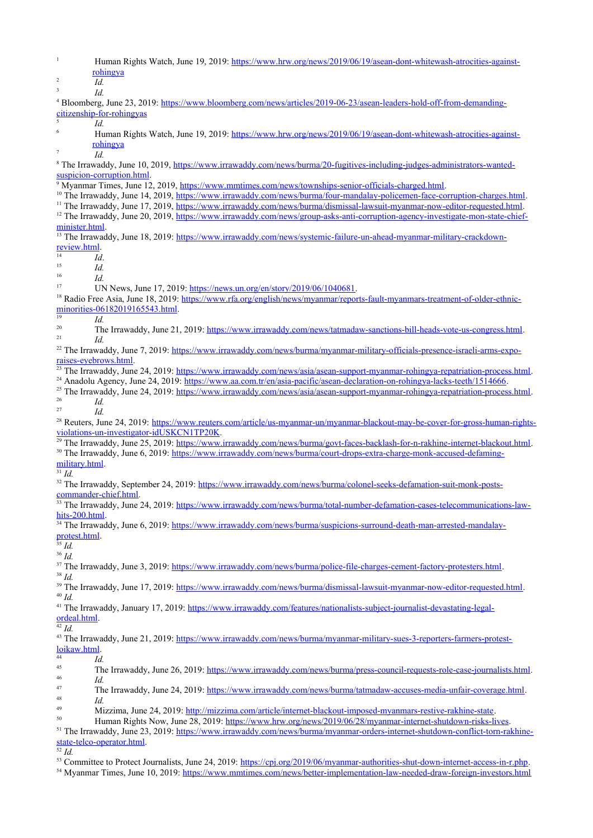| $\,1\,$<br>Human Rights Watch, June 19, 2019: https://www.hrw.org/news/2019/06/19/asean-dont-whitewash-atrocities-against-<br>rohingya<br>$\overline{2}$                                                                                                                                                                                                                                                                     |  |
|------------------------------------------------------------------------------------------------------------------------------------------------------------------------------------------------------------------------------------------------------------------------------------------------------------------------------------------------------------------------------------------------------------------------------|--|
| Id.<br>$\overline{3}$<br>Id.                                                                                                                                                                                                                                                                                                                                                                                                 |  |
| <sup>4</sup> Bloomberg, June 23, 2019: https://www.bloomberg.com/news/articles/2019-06-23/asean-leaders-hold-off-from-demanding-<br>citizenship-for-rohingyas<br>5<br>Id.                                                                                                                                                                                                                                                    |  |
| 6<br>Human Rights Watch, June 19, 2019: https://www.hrw.org/news/2019/06/19/asean-dont-whitewash-atrocities-against-<br>rohingya                                                                                                                                                                                                                                                                                             |  |
| Id.<br><sup>8</sup> The Irrawaddy, June 10, 2019, https://www.irrawaddy.com/news/burma/20-fugitives-including-judges-administrators-wanted-                                                                                                                                                                                                                                                                                  |  |
| suspicion-corruption.html<br><sup>9</sup> Myanmar Times, June 12, 2019, https://www.mmtimes.com/news/townships-senior-officials-charged.html.                                                                                                                                                                                                                                                                                |  |
| <sup>10</sup> The Irrawaddy, June 14, 2019, https://www.irrawaddy.com/news/burma/four-mandalay-policemen-face-corruption-charges.html.<br><sup>11</sup> The Irrawaddy, June 17, 2019, https://www.irrawaddy.com/news/burma/dismissal-lawsuit-myanmar-now-editor-requested.html.<br><sup>12</sup> The Irrawaddy, June 20, 2019, https://www.irrawaddy.com/news/group-asks-anti-corruption-agency-investigate-mon-state-chief- |  |
| minister.html.<br><sup>13</sup> The Irrawaddy, June 18, 2019: https://www.irrawaddy.com/news/systemic-failure-un-ahead-myanmar-military-crackdown-                                                                                                                                                                                                                                                                           |  |
| review.html.<br>14<br>Id.                                                                                                                                                                                                                                                                                                                                                                                                    |  |
| 15<br>Id.<br>16<br>Id.                                                                                                                                                                                                                                                                                                                                                                                                       |  |
| 17<br>UN News, June 17, 2019: https://news.un.org/en/story/2019/06/1040681.<br><sup>18</sup> Radio Free Asia, June 18, 2019: https://www.rfa.org/english/news/myanmar/reports-fault-myanmars-treatment-of-older-ethnic-                                                                                                                                                                                                      |  |
| minorities-06182019165543.html.<br>19<br>Id.                                                                                                                                                                                                                                                                                                                                                                                 |  |
| 20<br>The Irrawaddy, June 21, 2019: https://www.irrawaddy.com/news/tatmadaw-sanctions-bill-heads-vote-us-congress.html<br>21<br>Id.                                                                                                                                                                                                                                                                                          |  |
| <sup>22</sup> The Irrawaddy, June 7, 2019: https://www.irrawaddy.com/news/burma/myanmar-military-officials-presence-israeli-arms-expo-<br>raises-eyebrows.html.                                                                                                                                                                                                                                                              |  |
| <sup>23</sup> The Irrawaddy, June 24, 2019: https://www.irrawaddy.com/news/asia/asean-support-myanmar-rohingya-repatriation-process.html.<br><sup>24</sup> Anadolu Agency, June 24, 2019: https://www.aa.com.tr/en/asia-pacific/asean-declaration-on-rohingya-lacks-teeth/1514666.                                                                                                                                           |  |
| <sup>25</sup> The Irrawaddy, June 24, 2019: https://www.irrawaddy.com/news/asia/asean-support-myanmar-rohingya-repatriation-process.html.<br>26<br>Id.<br>27<br>Id.                                                                                                                                                                                                                                                          |  |
| <sup>28</sup> Reuters, June 24, 2019: https://www.reuters.com/article/us-myanmar-un/myanmar-blackout-may-be-cover-for-gross-human-rights-<br>violations-un-investigator-idUSKCN1TP20K.                                                                                                                                                                                                                                       |  |
| <sup>29</sup> The Irrawaddy, June 25, 2019: https://www.irrawaddy.com/news/burma/govt-faces-backlash-for-n-rakhine-internet-blackout.html.<br><sup>30</sup> The Irrawaddy, June 6, 2019: https://www.irrawaddy.com/news/burma/court-drops-extra-charge-monk-accused-defaming-                                                                                                                                                |  |
| military.html.<br>$31$ Id.                                                                                                                                                                                                                                                                                                                                                                                                   |  |
| <sup>32</sup> The Irrawaddy, September 24, 2019: https://www.irrawaddy.com/news/burma/colonel-seeks-defamation-suit-monk-posts-<br>commander-chief.html.                                                                                                                                                                                                                                                                     |  |
| <sup>33</sup> The Irrawaddy, June 24, 2019: https://www.irrawaddy.com/news/burma/total-number-defamation-cases-telecommunications-law-<br>hits-200.html.                                                                                                                                                                                                                                                                     |  |
| <sup>34</sup> The Irrawaddy, June 6, 2019: https://www.irrawaddy.com/news/burma/suspicions-surround-death-man-arrested-mandalay-<br>protest.html.<br>$\overline{\frac{35}{}}$ Id.                                                                                                                                                                                                                                            |  |
| $36$ Id.<br><sup>37</sup> The Irrawaddy, June 3, 2019: https://www.irrawaddy.com/news/burma/police-file-charges-cement-factory-protesters.html.                                                                                                                                                                                                                                                                              |  |
| $38$ Id.<br><sup>39</sup> The Irrawaddy, June 17, 2019: https://www.irrawaddy.com/news/burma/dismissal-lawsuit-myanmar-now-editor-requested.html.                                                                                                                                                                                                                                                                            |  |
| $40$ Id.                                                                                                                                                                                                                                                                                                                                                                                                                     |  |
| <sup>41</sup> The Irrawaddy, January 17, 2019: https://www.irrawaddy.com/features/nationalists-subject-journalist-devastating-legal-<br>ordeal.html.<br>$42$ Id.                                                                                                                                                                                                                                                             |  |
| <sup>43</sup> The Irrawaddy, June 21, 2019: https://www.irrawaddy.com/news/burma/myanmar-military-sues-3-reporters-farmers-protest-<br>loikaw.html.<br>44<br>Id.                                                                                                                                                                                                                                                             |  |
| 45<br>The Irrawaddy, June 26, 2019: https://www.irrawaddy.com/news/burma/press-council-requests-role-case-journalists.html.<br>46<br>Id.                                                                                                                                                                                                                                                                                     |  |
| 47<br>The Irrawaddy, June 24, 2019: https://www.irrawaddy.com/news/burma/tatmadaw-accuses-media-unfair-coverage.html.<br>48<br>Id.                                                                                                                                                                                                                                                                                           |  |
| 49<br>Mizzima, June 24, 2019: http://mizzima.com/article/internet-blackout-imposed-myanmars-restive-rakhine-state.<br>50<br>Human Rights Now, June 28, 2019: https://www.hrw.org/news/2019/06/28/myanmar-internet-shutdown-risks-lives.                                                                                                                                                                                      |  |
| <sup>51</sup> The Irrawaddy, June 23, 2019: https://www.irrawaddy.com/news/burma/myanmar-orders-internet-shutdown-conflict-torn-rakhine-<br>state-telco-operator.html.                                                                                                                                                                                                                                                       |  |
| $52$ Id.                                                                                                                                                                                                                                                                                                                                                                                                                     |  |

<sup>53</sup> Committee to Protect Journalists, June 24, 2019:<https://cpj.org/2019/06/myanmar-authorities-shut-down-internet-access-in-r.php>.

<sup>54</sup> Myanmar Times, June 10, 2019:<https://www.mmtimes.com/news/better-implementation-law-needed-draw-foreign-investors.html>